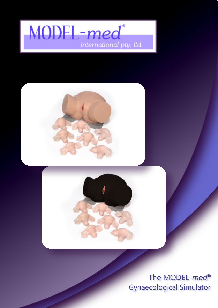# MODEL-med<sup>®</sup> international pty. Itd.





The MODEL-med® **Gynaecological Simulator**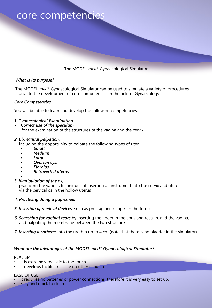### core competencies

The MODEL-*med*® Gynaecological Simulator

### *What is its purpose?*

The MODEL-*med*® Gynaecological Simulator can be used to simulate a variety of procedures crucial to the development of core competencies in the field of Gynaecology.

### *Core Competencies*

You will be able to learn and develop the following competencies:-

### *1. Gynaecological Examination.*

*• Correct use of the speculum* for the examination of the structures of the vagina and the cervix

### *2. Bi-manual palpation*,

including the opportunity to palpate the following types of uteri

- *Small*
- *Medium*
- *Large*
- *Ovarian cyst*
- *Fibroids*
- *Retroverted uterus*
- *3. Manipulation of the os,*

practicing the various techniques of inserting an instrument into the cervix and uterus via the cervical os in the hollow uterus

- *4. Practicing doing a pap-smear*
- *5. Insertion of medical devices* such as prostaglandin tapes in the fornix
- *6. Searching for vaginal tears* by inserting the finger in the anus and rectum, and the vagina, and palpating the membrane between the two structures
- *7. Inserting a catheter* into the urethra up to 4 cm (note that there is no bladder in the simulator)

### *What are the advantages of the MODEL-med® Gynaecological Simulator?*

#### REALISM

- it is extremely realistic to the touch.
- It develops tactile skills like no other simulator.

#### EASE OF USE

- It requires no batteries or power connections, therefore it is very easy to set up.
- Easy and quick to clean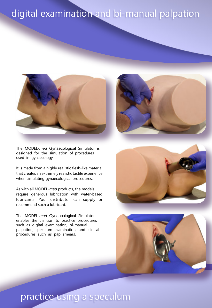# digital examination and bi-manual palpation



The MODEL-*med* Gynaecological Simulator is designed for the simulation of procedures used in gynaecology.

It is made from a highly realistic flesh-like material that creates an extremely realistic tactile experience when simulating gynaecological procedures.

As with all MODEL-*med* products, the models require generous lubrication with water-based lubricants. Your distributor can supply or recommend such a lubricant.

The MODEL-*med* Gynaecological Simulator enables the clinician to practice procedures such as digital examination, bi-manual palpation, speculum examination, and clinical procedures such as pap smears.





## practice using a speculum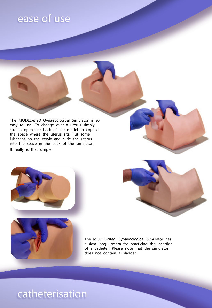# ease of use

The MODEL-*med* Gynaecological Simulator is so easy to use! To change over a uterus simply stretch open the back of the model to expose the space where the uterus sits. Put some lubricant on the cervix and slide the uterus into the space in the back of the simulator. It really is that simple.





The MODEL-*med* Gynaecological Simulator has a 4cm long urethra for practicing the insertion of a catheter. Please note that the simulator does not contain a bladder..

# catheterisation